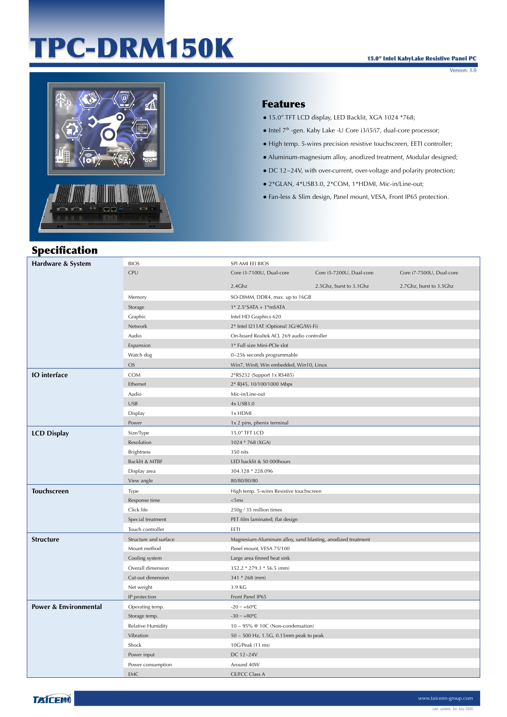# TPC-DRM150K

Version: 3.0



### Features

- 15.0" TFT LCD display, LED Backlit, XGA 1024 \*768;
- $\bullet$  Intel  $7<sup>th</sup>$ -gen. Kaby Lake -U Core i3/i5/i7, dual-core processor;
- High temp. 5-wires precision resistive touchscreen, EETI controller;
- Aluminum-magnesium alloy, anodized treatment, Modular designed;
- DC 12~24V, with over-current, over-voltage and polarity protection;
- 2\*GLAN, 4\*USB3.0, 2\*COM, 1\*HDMI, Mic-in/Line-out;
- Fan-less & Slim design, Panel mount, VESA, Front IP65 protection.

## Specification

| Hardware & System                | <b>BIOS</b>              | SPI AMI EEI BIOS                                            |                          |                           |
|----------------------------------|--------------------------|-------------------------------------------------------------|--------------------------|---------------------------|
|                                  | CPU                      | Core i3-7100U, Dual-core                                    | Core i5-7200U, Dual-core | Core i7-7500U, Dual-core  |
|                                  |                          | 2.4Ghz                                                      | 2.5Ghz, burst to 3.1Ghz  | 2.7 Ghz, burst to 3.5 Ghz |
|                                  | Memory                   | SO-DIMM, DDR4, max. up to 16GB                              |                          |                           |
|                                  | Storage                  | $1*$ 2.5"SATA + $1*$ mSATA                                  |                          |                           |
|                                  | Graphic                  | Intel HD Graphics 620                                       |                          |                           |
|                                  | Network                  | 2* Intel I211AT (Optional 3G/4G/Wi-Fi)                      |                          |                           |
|                                  | Audio                    | On-board Realtek ACL 269 audio controller                   |                          |                           |
|                                  | Expansion                | 1* Full size Mini-PCIe slot                                 |                          |                           |
|                                  | Watch dog                | 0~256 seconds programmable                                  |                          |                           |
|                                  | <b>OS</b>                | Win7, Win8, Win embedded, Win10, Linux                      |                          |                           |
| <b>IO</b> interface              | <b>COM</b>               | 2*RS232 (Support 1x RS485)                                  |                          |                           |
|                                  | Ethernet                 | 2* RJ45, 10/100/1000 Mbps                                   |                          |                           |
|                                  | Audio                    | Mic-in/Line-out                                             |                          |                           |
|                                  | <b>USB</b>               | 4x USB3.0                                                   |                          |                           |
|                                  | Display                  | 1x HDMI                                                     |                          |                           |
|                                  | Power                    | 1x 2 pins, phenix terminal                                  |                          |                           |
| <b>LCD Display</b>               | Size/Type                | 15.0" TFT LCD                                               |                          |                           |
|                                  | Resolution               | 1024 * 768 (XGA)                                            |                          |                           |
|                                  | <b>Brightness</b>        | 350 nits                                                    |                          |                           |
|                                  | Backlit & MTBF           | LED backlit & 50 000hours                                   |                          |                           |
|                                  | Display area             | 304.128 * 228.096                                           |                          |                           |
|                                  | View angle               | 80/80/80/80                                                 |                          |                           |
| <b>Touchscreen</b>               | Type                     | High temp. 5-wires Resistive touchscreen                    |                          |                           |
|                                  | Response time            | $<$ 5ms                                                     |                          |                           |
|                                  | Click life               | 250g / 35 million times                                     |                          |                           |
|                                  | Special treatment        | PET film laminated, flat design                             |                          |                           |
|                                  | Touch controller         | EETI                                                        |                          |                           |
| <b>Structure</b>                 | Structure and surface    | Magnesium-Aluminum alloy, sand blasting, anodized treatment |                          |                           |
|                                  | Mount method             | Panel mount, VESA 75/100                                    |                          |                           |
|                                  | Cooling system           | Large area finned heat sink                                 |                          |                           |
|                                  | Overall dimension        | 352.2 * 279.3 * 56.5 (mm)                                   |                          |                           |
|                                  | Cut-out dimension        | 341 * 268 (mm)                                              |                          |                           |
|                                  | Net weight               | 3.9 KG                                                      |                          |                           |
|                                  | IP protection            | Front Panel IP65                                            |                          |                           |
| <b>Power &amp; Environmental</b> | Operating temp.          | $-20 - +60$ °C                                              |                          |                           |
|                                  | Storage temp.            | $-30 - +80$ °C                                              |                          |                           |
|                                  | <b>Relative Humidity</b> | $10 \sim 95\%$ @ 10C (Non-condensation)                     |                          |                           |
|                                  | Vibration                | 50 ~ 500 Hz, 1.5G, 0.15mm peak to peak                      |                          |                           |
|                                  | Shock                    | 10G/Peak (11 ms)                                            |                          |                           |
|                                  | Power input              | DC 12~24V                                                   |                          |                           |
|                                  | Power consumption        | Around 40W                                                  |                          |                           |
|                                  | <b>EMC</b>               | CE/FCC Class A                                              |                          |                           |